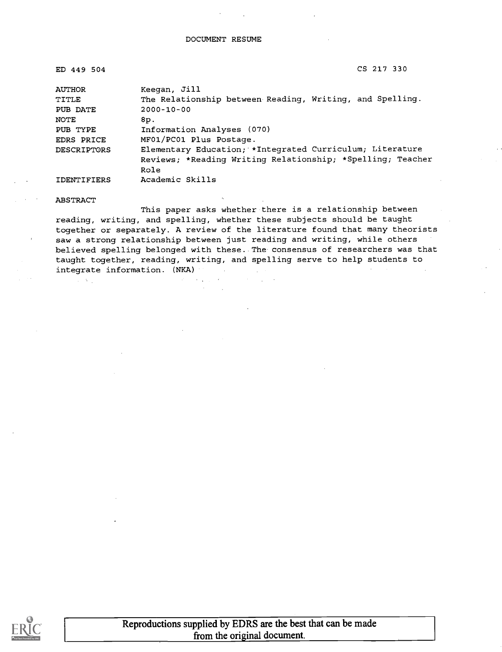ED 449 504 CS 217 330

| <b>AUTHOR</b>      | Keegan, Jill                                               |
|--------------------|------------------------------------------------------------|
| TITLE              | The Relationship between Reading, Writing, and Spelling.   |
| PUB DATE           | $2000 - 10 - 00$                                           |
| NOTE               | 8p.                                                        |
| PUB TYPE           | Information Analyses (070)                                 |
| EDRS PRICE         | MF01/PC01 Plus Postage.                                    |
| <b>DESCRIPTORS</b> | Elementary Education; *Integrated Curriculum; Literature   |
|                    | Reviews; *Reading Writing Relationship; *Spelling; Teacher |
|                    | Role                                                       |
| <b>IDENTIFIERS</b> | Academic Skills                                            |

#### ABSTRACT

 $\mathcal{A}=\mathcal{A}(\mathcal{A})$ 

This paper asks whether there is a relationship between reading, writing, and spelling, whether these subjects should be taught together or separately. A review of the literature found that many theorists saw a strong relationship between just reading and writing, while others believed spelling belonged with these. The consensus of researchers was that taught together, reading, writing, and spelling serve to help students to integrate information. (NKA)

**Contractor** 

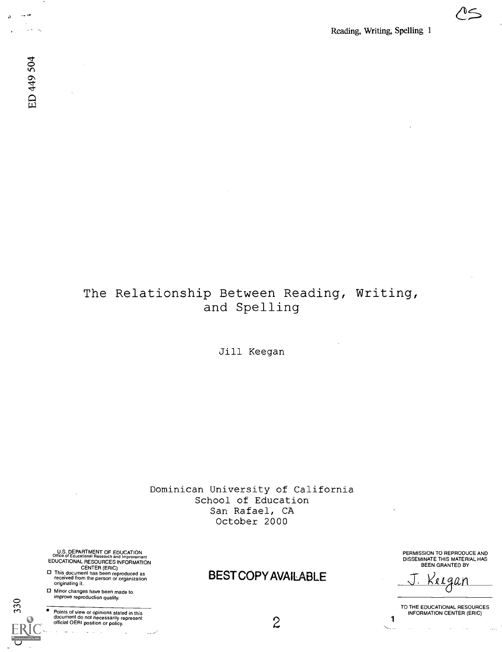$\frac{1}{\sqrt{2}}$ 

 $\sim$   $\sigma$ 

## The Relationship Between Reading, Writing, and Spelling

Jill Keegan

Dominican University of California School of Education San Rafael, CA October 2000

U.S. DEPARTMENT OF EDUCATION<br>Office of Educational Research and Improvement Office of Educational Research and Improvement EDUCATIONAL RESOURCES INFORMATION

- CENTER (ERIC) This document has been reproduced as received from the person or organization originating it.
- Minor changes have been made to  $\sum_{n=1}^{\infty}$  improve reproduction quality.

 $ERIC$  . . . . . .

Full Text Provided by El

Points of view or opinions stated in this<br>document do not necessarily represent<br>official OERI position or policy.

BEST COPY AVAILABLE

PERMISSION TO REPRODUCE AND DISSEMINATE THIS MATERIAL HAS BEEN GRANTED BY

<u>'eigan</u>

1  $\overline{a}$ 

TO THE EDUCATIONAL RESOURCES INFORMATION CENTER (ERIC)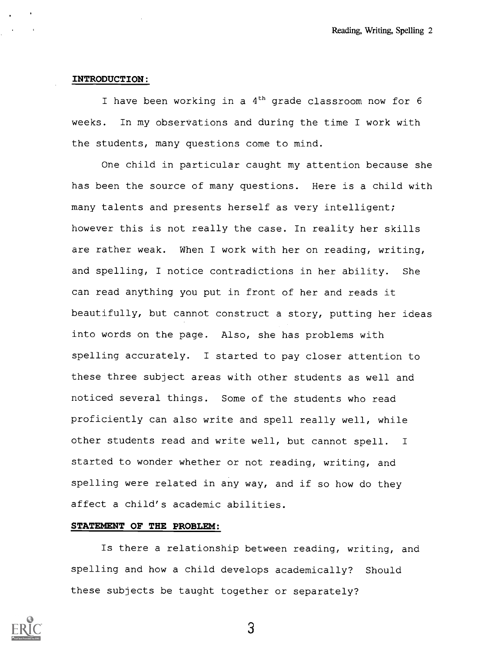#### INTRODUCTION:

I have been working in a  $4<sup>th</sup>$  grade classroom now for 6 weeks. In my observations and during the time I work with the students, many questions come to mind.

One child in particular caught my attention because she has been the source of many questions. Here is a child with many talents and presents herself as very intelligent; however this is not really the case. In reality her skills are rather weak. When I work with her on reading, writing, and spelling, I notice contradictions in her ability. She can read anything you put in front of her and reads it beautifully, but cannot construct a story, putting her ideas into words on the page. Also, she has problems with spelling accurately. I started to pay closer attention to these three subject areas with other students as well and noticed several things. Some of the students who read proficiently can also write and spell really well, while other students read and write well, but cannot spell. <sup>I</sup> started to wonder whether or not reading, writing, and spelling were related in any way, and if so how do they affect a child's academic abilities.

#### STATEMENT OF THE PROBLEM

Is there a relationship between reading, writing, and spelling and how a child develops academically? Should these subjects be taught together or separately?

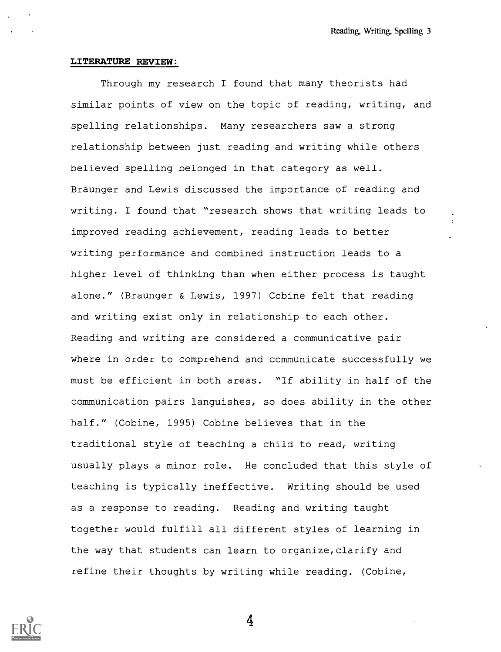#### LITERATURE REVIEW:

Through my research I found that many theorists had similar points of view on the topic of reading, writing, and spelling relationships. Many researchers saw a strong relationship between just reading and writing while others believed spelling belonged in that category as well. Braunger and Lewis discussed the importance of reading and writing. I found that "research shows that writing leads to improved reading achievement, reading leads to better writing performance and combined instruction leads to a higher level of thinking than when either process is taught alone." (Braunger & Lewis, 1997) Cobine felt that reading and writing exist only in relationship to each other. Reading and writing are considered a communicative pair where in order to comprehend and communicate successfully we must be efficient in both areas. "If ability in half of the communication pairs languishes, so does ability in the other half." (Cobine, 1995) Cobine believes that in the traditional style of teaching a child to read, writing usually plays a minor role. He concluded that this style of teaching is typically ineffective. Writing should be used as a response to reading. Reading and writing taught together would fulfill all different styles of learning in the way that students can learn to organize,clarify and refine their thoughts by writing while reading. (Cobine,

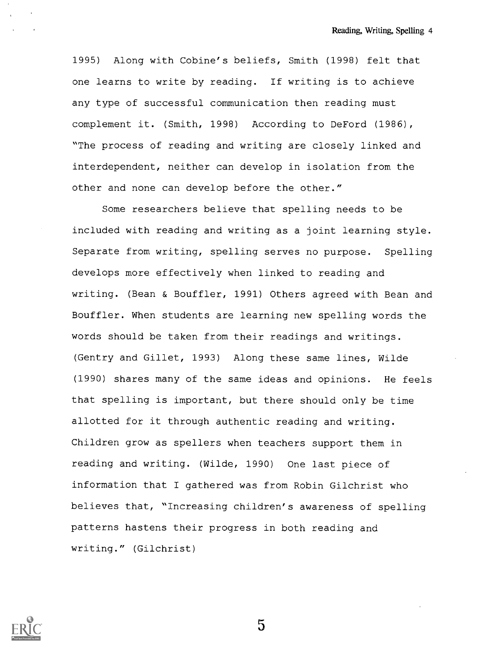1995) Along with Cobine's beliefs, Smith (1998) felt that one learns to write by reading. If writing is to achieve any type of successful communication then reading must complement it. (Smith, 1998) According to DeFord (1986), "The process of reading and writing are closely linked and interdependent, neither can develop in isolation from the other and none can develop before the other."

Some researchers believe that spelling needs to be included with reading and writing as a joint learning style. Separate from writing, spelling serves no purpose. Spelling develops more effectively when linked to reading and writing. (Bean & Bouffler, 1991) Others agreed with Bean and Bouffler. When students are learning new spelling words the words should be taken from their readings and writings. (Gentry and Gillet, 1993) Along these same lines, Wilde (1990) shares many of the same ideas and opinions. He feels that spelling is important, but there should only be time allotted for it through authentic reading and writing. Children grow as spellers when teachers support them in reading and writing. (Wilde, 1990) One last piece of information that I gathered was from Robin Gilchrist who believes that, "Increasing children's awareness of spelling patterns hastens their progress in both reading and writing." (Gilchrist)

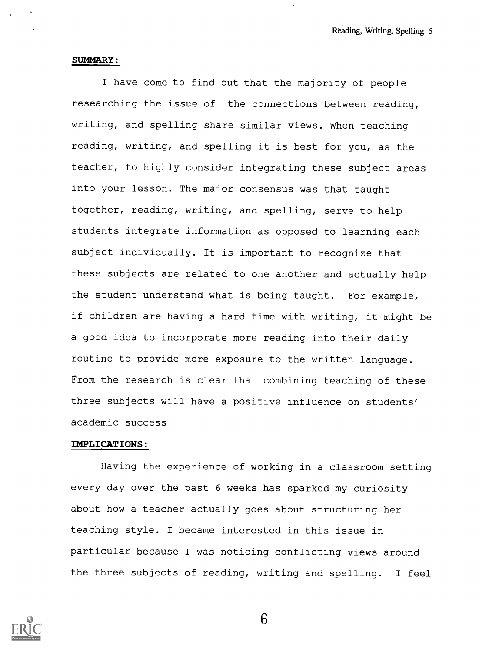#### SUMMARY:

I have come to find out that the majority of people researching the issue of the connections between reading, writing, and spelling share similar views. When teaching reading, writing, and spelling it is best for you, as the teacher, to highly consider integrating these subject areas into your lesson. The major consensus was that taught together, reading, writing, and spelling, serve to help students integrate information as opposed to learning each subject individually. It is important to recognize that these subjects are related to one another and actually help the student understand what is being taught. For example, if children are having a hard time with writing, it might be a good idea to incorporate more reading into their daily routine to provide more exposure to the written language. From the research is clear that combining teaching of these three subjects will have a positive influence on students' academic success

#### IMPLICATIONS:

Having the experience of working in a classroom setting every day over the past 6 weeks has sparked my curiosity about how a teacher actually goes about structuring her teaching style. I became interested in this issue in particular because I was noticing conflicting views around the three subjects of reading, writing and spelling. I feel

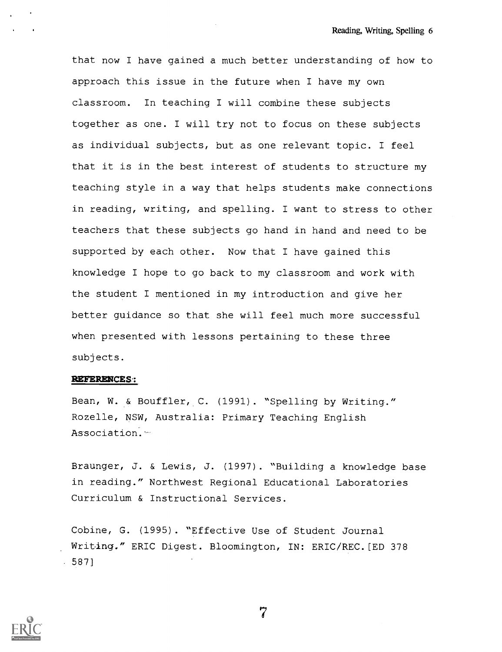that now I have gained a much better understanding of how to approach this issue in the future when I have my own classroom. In teaching I will combine these subjects together as one. I will try not to focus on these subjects as individual subjects, but as one relevant topic. I feel that it is in the best interest of students to structure my teaching style in a way that helps students make connections in reading, writing, and spelling. I want to stress to other teachers that these subjects go hand in hand and need to be supported by each other. Now that I have gained this knowledge I hope to go back to my classroom and work with the student I mentioned in my introduction and give her better guidance so that she will feel much more successful when presented with lessons pertaining to these three subjects.

#### REFERENCES.:

Bean, W. & Bouffler, C. (1991). "Spelling by Writing." Rozelle, NSW, Australia: Primary Teaching English Association.

Braunger, J. & Lewis, J. (1997). "Building a knowledge base in reading." Northwest Regional Educational Laboratories Curriculum & Instructional Services.

Cobine, G. (1995). "Effective Use of Student Journal Writing." ERIC Digest. Bloomington, IN: ERIC/REC.[ED 378 587]

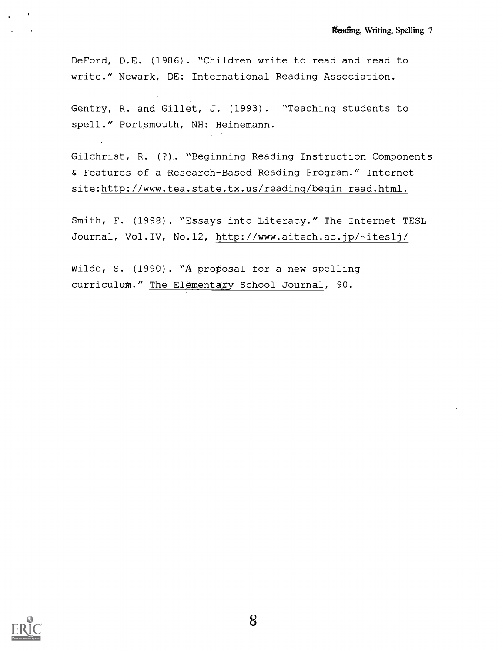DeFord, D.E. (1986). "Children write to read and read to write." Newark, DE: International Reading Association.

Gentry, R. and Gillet, J. (1993). "Teaching students to spell." Portsmouth, NH: Heinemann.

Gilchrist, R. (?).. "Beginning Reading Instruction Components & Features of a Research-Based Reading Program." Internet site:http://www.tea.state.tx.us/reading/begin read.html.

Smith, F. (1998). "Essays into Literacy." The Internet TESL Journal, Vol.IV, No.12, http://www.aitech.ac.jp/-ites1j/

Wilde, S. (1990). "A proposal for a new spelling curriculum." The Elementary School Journal, 90.



 $\mathbf{t}$  .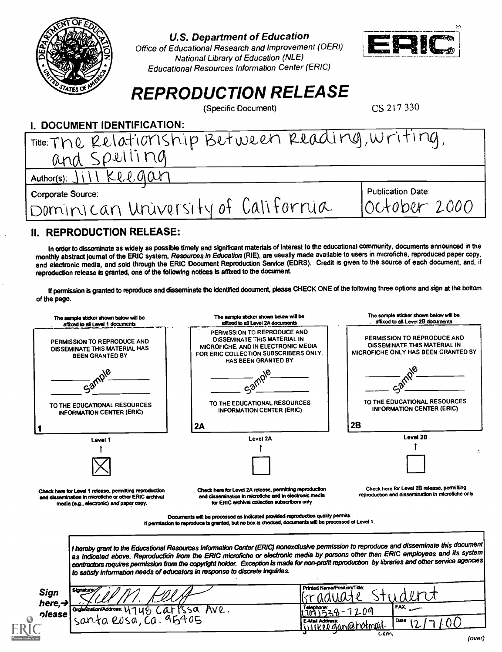

U.S. Department of Education

Office of Educational Research and Improvement (OERI) National Library of Education (NLE) Educational Resources Information Center (ERIC)



# **REPRODUCTION RELEASE**<br>(Specific Document) CS 217 330

(Specific Document)

| <b>I. DOCUMENT IDENTIFICATION:</b>                |                          |
|---------------------------------------------------|--------------------------|
| Title: The Relationship Between Reading, Writing, |                          |
| and Spelling                                      |                          |
| Author(s): Jill Keegar                            |                          |
| <b>Corporate Source:</b>                          | <b>Publication Date:</b> |
| Dominican University of California                | October 2000             |
| <b>BEBBABUATION BELEACE.</b>                      |                          |

## II. REPRODUCTION RELEASE:

In order to disseminate as widely as possible timely and significant materials of interest to the educational community, documents announced in the monthly abstract journal of the ERIC system, Resources in Education (RIE), are usually made available to users in microfiche, reproduced paper copy. and electronic media, and sold through the ERIC Document Reproduction Service (EDRS). Credit is given to the source of each document, and, if reproduction release is granted, one of the following notices is affixed to the document.

If permission is granted to reproduce and disseminate the identified document, please CHECK ONE of the following three options and sign at the bottom of the page.

|                             | The sample sticker shown below will be<br>affixed to all Level 1 documents                                                                                    | The sample sticker shown below will be<br>affixed to all Level 2A documents                                                                                                                                                                                                                                                                                                                                                                                                                                       | The sample sticker shown below will be<br>affixed to all Level 2B documents                               |
|-----------------------------|---------------------------------------------------------------------------------------------------------------------------------------------------------------|-------------------------------------------------------------------------------------------------------------------------------------------------------------------------------------------------------------------------------------------------------------------------------------------------------------------------------------------------------------------------------------------------------------------------------------------------------------------------------------------------------------------|-----------------------------------------------------------------------------------------------------------|
|                             | PERMISSION TO REPRODUCE AND<br>DISSEMINATE THIS MATERIAL HAS<br><b>BEEN GRANTED BY</b><br>Samp'                                                               | PERMISSION TO REPRODUCE AND<br>DISSEMINATE THIS MATERIAL IN<br>MICROFICHE, AND IN ELECTRONIC MEDIA<br>FOR ERIC COLLECTION SUBSCRIBERS ONLY.<br>HAS BEEN GRANTED BY                                                                                                                                                                                                                                                                                                                                                | PERMISSION TO REPRODUCE AND<br>DISSEMINATE THIS MATERIAL IN<br><b>MICROFICHE ONLY HAS BEEN GRANTED BY</b> |
|                             | TO THE EDUCATIONAL RESOURCES<br><b>INFORMATION CENTER (ERIC)</b>                                                                                              | TO THE EDUCATIONAL RESOURCES<br><b>INFORMATION CENTER (ERIC)</b>                                                                                                                                                                                                                                                                                                                                                                                                                                                  | TO THE EDUCATIONAL RESOURCES<br><b>INFORMATION CENTER (ERIC)</b>                                          |
|                             |                                                                                                                                                               | 2A                                                                                                                                                                                                                                                                                                                                                                                                                                                                                                                | 2B                                                                                                        |
|                             | Level 1                                                                                                                                                       | Level 2A                                                                                                                                                                                                                                                                                                                                                                                                                                                                                                          | Level 2B                                                                                                  |
|                             |                                                                                                                                                               |                                                                                                                                                                                                                                                                                                                                                                                                                                                                                                                   |                                                                                                           |
|                             |                                                                                                                                                               |                                                                                                                                                                                                                                                                                                                                                                                                                                                                                                                   |                                                                                                           |
|                             | Check here for Level 1 release, permitting reproduction<br>and dissemination in microfiche or other ERIC archival<br>media (e.g., electronic) and paper copy. | Check here for Level 2A release, permitting reproduction<br>and dissemination in microfiche and in electronic media<br>for ERIC archival collection subscribers only                                                                                                                                                                                                                                                                                                                                              | Check here for Level 2B release, permitting<br>reproduction and dissemination in microfiche only          |
|                             |                                                                                                                                                               | Documents will be processed as indicated provided reproduction quality permits.<br>If permission to reproduce is granted, but no box is checked, documents will be processed at Level 1.                                                                                                                                                                                                                                                                                                                          |                                                                                                           |
|                             |                                                                                                                                                               | I hereby grant to the Educational Resources Information Center (ERIC) nonexclusive permission to reproduce and disseminate this document<br>as indicated above. Reproduction from the ERIC microfiche or electronic media by persons other than ERIC employees and its system<br>contractors requires permission from the copyright holder. Exception is made for non-profit reproduction by libraries and other service agencies<br>to satisfy information needs of educators in response to discrete inquiries. |                                                                                                           |
| Sign<br>here, $\rightarrow$ | Signature                                                                                                                                                     |                                                                                                                                                                                                                                                                                                                                                                                                                                                                                                                   | Printed Name/Position/Title:                                                                              |
| nlease                      | Organization/Address: U 7<br>$\mathsf{U} \mathsf{P}$<br>$santa$ $R0sa, Ca. 95405$                                                                             | Carrssa Ave.<br>าเทาเราเห                                                                                                                                                                                                                                                                                                                                                                                                                                                                                         | <b>FAX:</b>                                                                                               |
|                             |                                                                                                                                                               |                                                                                                                                                                                                                                                                                                                                                                                                                                                                                                                   |                                                                                                           |